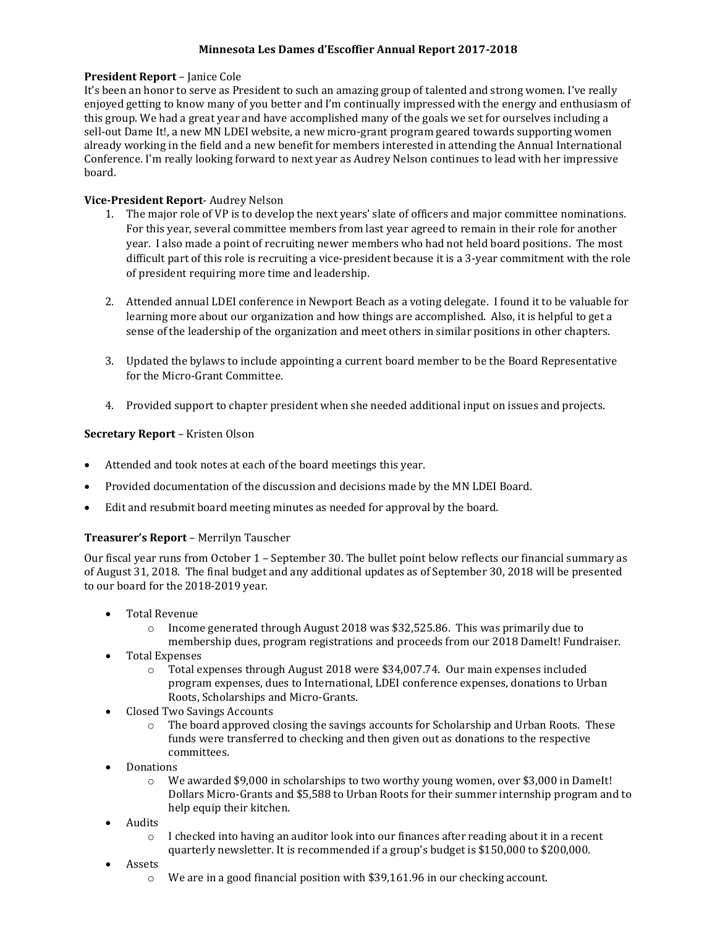### **Minnesota Les Dames d'Escoffier Annual Report 2017-2018**

### **President Report** – Janice Cole

It's been an honor to serve as President to such an amazing group of talented and strong women. I've really enjoyed getting to know many of you better and I'm continually impressed with the energy and enthusiasm of this group. We had a great year and have accomplished many of the goals we set for ourselves including a sell-out Dame It!, a new MN LDEI website, a new micro-grant program geared towards supporting women already working in the field and a new benefit for members interested in attending the Annual International Conference. I'm really looking forward to next year as Audrey Nelson continues to lead with her impressive board.

### **Vice-President Report**- Audrey Nelson

- 1. The major role of VP is to develop the next years' slate of officers and major committee nominations. For this year, several committee members from last year agreed to remain in their role for another year. I also made a point of recruiting newer members who had not held board positions. The most difficult part of this role is recruiting a vice-president because it is a 3-year commitment with the role of president requiring more time and leadership.
- 2. Attended annual LDEI conference in Newport Beach as a voting delegate. I found it to be valuable for learning more about our organization and how things are accomplished. Also, it is helpful to get a sense of the leadership of the organization and meet others in similar positions in other chapters.
- 3. Updated the bylaws to include appointing a current board member to be the Board Representative for the Micro-Grant Committee.
- 4. Provided support to chapter president when she needed additional input on issues and projects.

# **Secretary Report** – Kristen Olson

- Attended and took notes at each of the board meetings this year.
- Provided documentation of the discussion and decisions made by the MN LDEI Board.
- Edit and resubmit board meeting minutes as needed for approval by the board.

# **Treasurer's Report** – Merrilyn Tauscher

Our fiscal year runs from October 1 – September 30. The bullet point below reflects our financial summary as of August 31, 2018. The final budget and any additional updates as of September 30, 2018 will be presented to our board for the 2018-2019 year.

- Total Revenue
	- o Income generated through August 2018 was \$32,525.86. This was primarily due to membership dues, program registrations and proceeds from our 2018 DameIt! Fundraiser.
- Total Expenses
	- o Total expenses through August 2018 were \$34,007.74. Our main expenses included program expenses, dues to International, LDEI conference expenses, donations to Urban Roots, Scholarships and Micro-Grants.
- Closed Two Savings Accounts
	- $\circ$  The board approved closing the savings accounts for Scholarship and Urban Roots. These funds were transferred to checking and then given out as donations to the respective committees.
- **Donations** 
	- o We awarded \$9,000 in scholarships to two worthy young women, over \$3,000 in DameIt! Dollars Micro-Grants and \$5,588 to Urban Roots for their summer internship program and to help equip their kitchen.
- Audits
	- $\circ$  I checked into having an auditor look into our finances after reading about it in a recent quarterly newsletter. It is recommended if a group's budget is \$150,000 to \$200,000.
- Assets
	- o We are in a good financial position with \$39,161.96 in our checking account.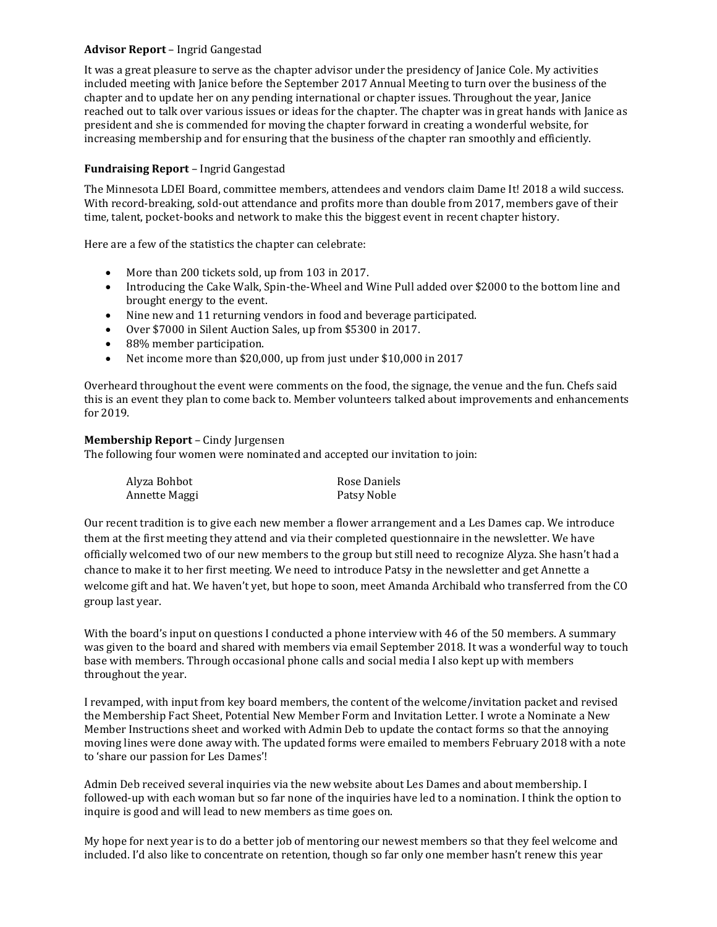#### **Advisor Report** – Ingrid Gangestad

It was a great pleasure to serve as the chapter advisor under the presidency of Janice Cole. My activities included meeting with Janice before the September 2017 Annual Meeting to turn over the business of the chapter and to update her on any pending international or chapter issues. Throughout the year, Janice reached out to talk over various issues or ideas for the chapter. The chapter was in great hands with Janice as president and she is commended for moving the chapter forward in creating a wonderful website, for increasing membership and for ensuring that the business of the chapter ran smoothly and efficiently.

### **Fundraising Report** – Ingrid Gangestad

The Minnesota LDEI Board, committee members, attendees and vendors claim Dame It! 2018 a wild success. With record-breaking, sold-out attendance and profits more than double from 2017, members gave of their time, talent, pocket-books and network to make this the biggest event in recent chapter history.

Here are a few of the statistics the chapter can celebrate:

- More than 200 tickets sold, up from 103 in 2017.
- Introducing the Cake Walk, Spin-the-Wheel and Wine Pull added over \$2000 to the bottom line and brought energy to the event.
- Nine new and 11 returning vendors in food and beverage participated.
- Over \$7000 in Silent Auction Sales, up from \$5300 in 2017.
- 88% member participation.
- Net income more than \$20,000, up from just under \$10,000 in 2017

Overheard throughout the event were comments on the food, the signage, the venue and the fun. Chefs said this is an event they plan to come back to. Member volunteers talked about improvements and enhancements for 2019.

#### **Membership Report** – Cindy Jurgensen

The following four women were nominated and accepted our invitation to join:

| Alyza Bohbot  | Rose Daniels |
|---------------|--------------|
| Annette Maggi | Patsy Noble  |

Our recent tradition is to give each new member a flower arrangement and a Les Dames cap. We introduce them at the first meeting they attend and via their completed questionnaire in the newsletter. We have officially welcomed two of our new members to the group but still need to recognize Alyza. She hasn't had a chance to make it to her first meeting. We need to introduce Patsy in the newsletter and get Annette a welcome gift and hat. We haven't yet, but hope to soon, meet Amanda Archibald who transferred from the CO group last year.

With the board's input on questions I conducted a phone interview with 46 of the 50 members. A summary was given to the board and shared with members via email September 2018. It was a wonderful way to touch base with members. Through occasional phone calls and social media I also kept up with members throughout the year.

I revamped, with input from key board members, the content of the welcome/invitation packet and revised the Membership Fact Sheet, Potential New Member Form and Invitation Letter. I wrote a Nominate a New Member Instructions sheet and worked with Admin Deb to update the contact forms so that the annoying moving lines were done away with. The updated forms were emailed to members February 2018 with a note to 'share our passion for Les Dames'!

Admin Deb received several inquiries via the new website about Les Dames and about membership. I followed-up with each woman but so far none of the inquiries have led to a nomination. I think the option to inquire is good and will lead to new members as time goes on.

My hope for next year is to do a better job of mentoring our newest members so that they feel welcome and included. I'd also like to concentrate on retention, though so far only one member hasn't renew this year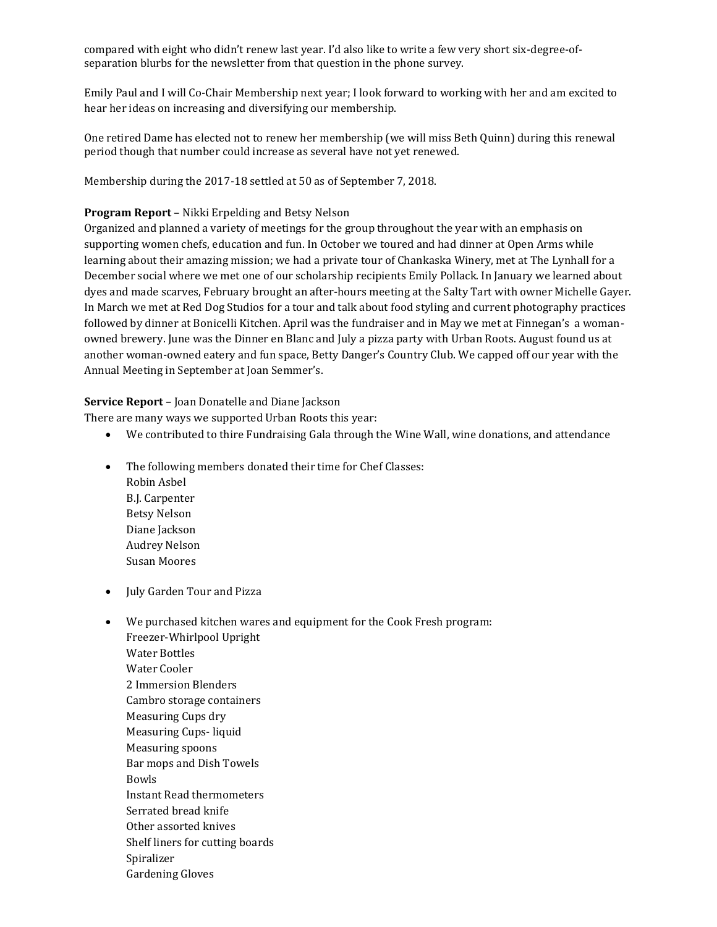compared with eight who didn't renew last year. I'd also like to write a few very short six-degree-ofseparation blurbs for the newsletter from that question in the phone survey.

Emily Paul and I will Co-Chair Membership next year; I look forward to working with her and am excited to hear her ideas on increasing and diversifying our membership.

One retired Dame has elected not to renew her membership (we will miss Beth Quinn) during this renewal period though that number could increase as several have not yet renewed.

Membership during the 2017-18 settled at 50 as of September 7, 2018.

### **Program Report** – Nikki Erpelding and Betsy Nelson

Organized and planned a variety of meetings for the group throughout the year with an emphasis on supporting women chefs, education and fun. In October we toured and had dinner at Open Arms while learning about their amazing mission; we had a private tour of Chankaska Winery, met at The Lynhall for a December social where we met one of our scholarship recipients Emily Pollack. In January we learned about dyes and made scarves, February brought an after-hours meeting at the Salty Tart with owner Michelle Gayer. In March we met at Red Dog Studios for a tour and talk about food styling and current photography practices followed by dinner at Bonicelli Kitchen. April was the fundraiser and in May we met at Finnegan's a womanowned brewery. June was the Dinner en Blanc and July a pizza party with Urban Roots. August found us at another woman-owned eatery and fun space, Betty Danger's Country Club. We capped off our year with the Annual Meeting in September at Joan Semmer's.

### **Service Report** – Joan Donatelle and Diane Jackson

There are many ways we supported Urban Roots this year:

- We contributed to thire Fundraising Gala through the Wine Wall, wine donations, and attendance
- The following members donated their time for Chef Classes: Robin Asbel B.J. Carpenter Betsy Nelson Diane Jackson Audrey Nelson Susan Moores
- July Garden Tour and Pizza
- We purchased kitchen wares and equipment for the Cook Fresh program: Freezer-Whirlpool Upright Water Bottles Water Cooler 2 Immersion Blenders Cambro storage containers Measuring Cups dry Measuring Cups- liquid Measuring spoons Bar mops and Dish Towels Bowls Instant Read thermometers Serrated bread knife Other assorted knives
	- Shelf liners for cutting boards
	- Spiralizer
	- Gardening Gloves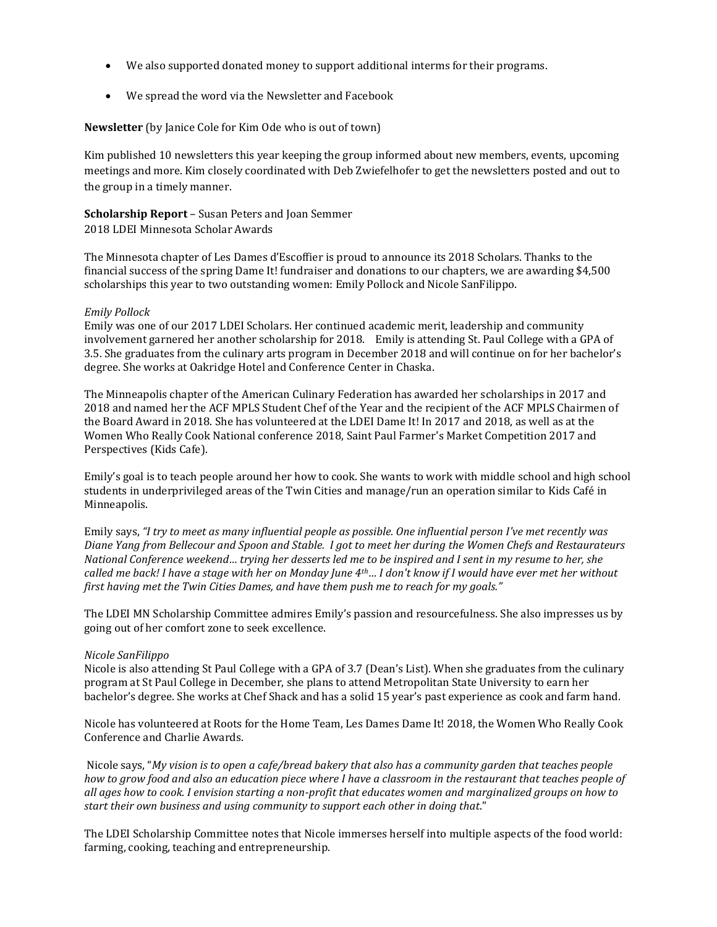- We also supported donated money to support additional interms for their programs.
- We spread the word via the Newsletter and Facebook

#### **Newsletter** (by Janice Cole for Kim Ode who is out of town)

Kim published 10 newsletters this year keeping the group informed about new members, events, upcoming meetings and more. Kim closely coordinated with Deb Zwiefelhofer to get the newsletters posted and out to the group in a timely manner.

**Scholarship Report** – Susan Peters and Joan Semmer 2018 LDEI Minnesota Scholar Awards

The Minnesota chapter of Les Dames d'Escoffier is proud to announce its 2018 Scholars. Thanks to the financial success of the spring Dame It! fundraiser and donations to our chapters, we are awarding \$4,500 scholarships this year to two outstanding women: Emily Pollock and Nicole SanFilippo.

#### *Emily Pollock*

Emily was one of our 2017 LDEI Scholars. Her continued academic merit, leadership and community involvement garnered her another scholarship for 2018. Emily is attending St. Paul College with a GPA of 3.5. She graduates from the culinary arts program in December 2018 and will continue on for her bachelor's degree. She works at Oakridge Hotel and Conference Center in Chaska.

The Minneapolis chapter of the American Culinary Federation has awarded her scholarships in 2017 and 2018 and named her the ACF MPLS Student Chef of the Year and the recipient of the ACF MPLS Chairmen of the Board Award in 2018. She has volunteered at the LDEI Dame It! In 2017 and 2018, as well as at the Women Who Really Cook National conference 2018, Saint Paul Farmer's Market Competition 2017 and Perspectives (Kids Cafe).

Emily's goal is to teach people around her how to cook. She wants to work with middle school and high school students in underprivileged areas of the Twin Cities and manage/run an operation similar to Kids Café in Minneapolis.

Emily says, *"I try to meet as many influential people as possible. One influential person I've met recently was Diane Yang from Bellecour and Spoon and Stable. I got to meet her during the Women Chefs and Restaurateurs National Conference weekend… trying her desserts led me to be inspired and I sent in my resume to her, she called me back! I have a stage with her on Monday June 4th… I don't know if I would have ever met her without first having met the Twin Cities Dames, and have them push me to reach for my goals."*

The LDEI MN Scholarship Committee admires Emily's passion and resourcefulness. She also impresses us by going out of her comfort zone to seek excellence.

#### *Nicole SanFilippo*

Nicole is also attending St Paul College with a GPA of 3.7 (Dean's List). When she graduates from the culinary program at St Paul College in December, she plans to attend Metropolitan State University to earn her bachelor's degree. She works at Chef Shack and has a solid 15 year's past experience as cook and farm hand.

Nicole has volunteered at Roots for the Home Team, Les Dames Dame It! 2018, the Women Who Really Cook Conference and Charlie Awards.

Nicole says, "*My vision is to open a cafe/bread bakery that also has a community garden that teaches people how to grow food and also an education piece where I have a classroom in the restaurant that teaches people of all ages how to cook. I envision starting a non-profit that educates women and marginalized groups on how to start their own business and using community to support each other in doing that*."

The LDEI Scholarship Committee notes that Nicole immerses herself into multiple aspects of the food world: farming, cooking, teaching and entrepreneurship.